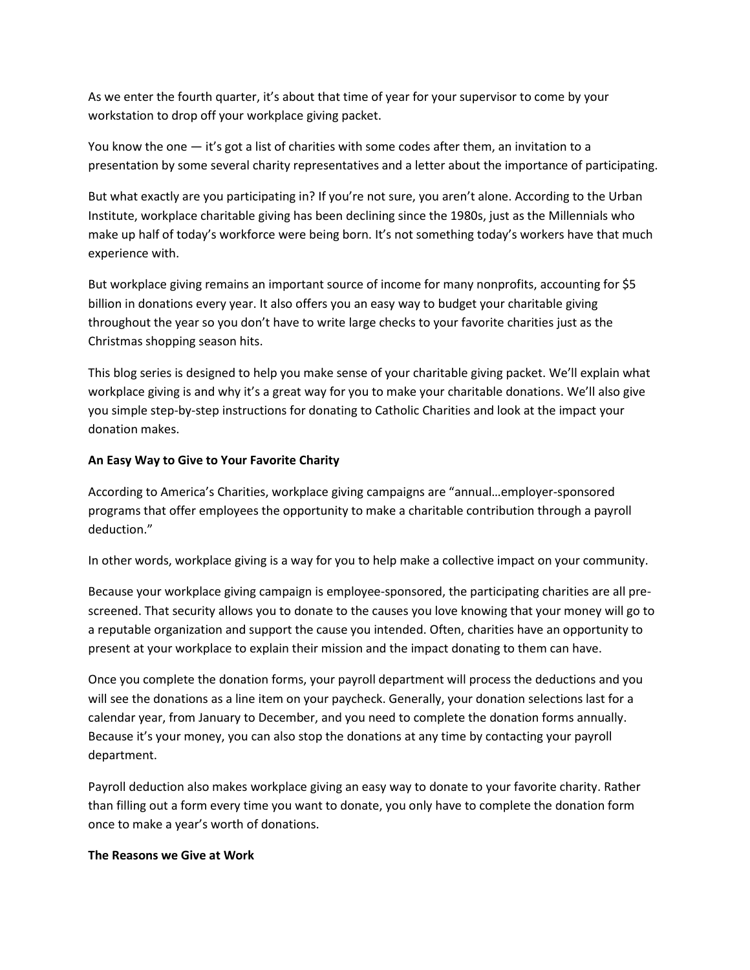As we enter the fourth quarter, it's about that time of year for your supervisor to come by your workstation to drop off your workplace giving packet.

You know the one — it's got a list of charities with some codes after them, an invitation to a presentation by some several charity representatives and a letter about the importance of participating.

But what exactly are you participating in? If you're not sure, you aren't alone. According to the Urban Institute, workplace charitable giving has been declining since the 1980s, just as the Millennials who make up half of today's workforce were being born. It's not something today's workers have that much experience with.

But workplace giving remains an important source of income for many nonprofits, accounting for \$5 billion in donations every year. It also offers you an easy way to budget your charitable giving throughout the year so you don't have to write large checks to your favorite charities just as the Christmas shopping season hits.

This blog series is designed to help you make sense of your charitable giving packet. We'll explain what workplace giving is and why it's a great way for you to make your charitable donations. We'll also give you simple step-by-step instructions for donating to Catholic Charities and look at the impact your donation makes.

### **An Easy Way to Give to Your Favorite Charity**

According to America's Charities, workplace giving campaigns are "annual…employer-sponsored programs that offer employees the opportunity to make a charitable contribution through a payroll deduction."

In other words, workplace giving is a way for you to help make a collective impact on your community.

Because your workplace giving campaign is employee-sponsored, the participating charities are all prescreened. That security allows you to donate to the causes you love knowing that your money will go to a reputable organization and support the cause you intended. Often, charities have an opportunity to present at your workplace to explain their mission and the impact donating to them can have.

Once you complete the donation forms, your payroll department will process the deductions and you will see the donations as a line item on your paycheck. Generally, your donation selections last for a calendar year, from January to December, and you need to complete the donation forms annually. Because it's your money, you can also stop the donations at any time by contacting your payroll department.

Payroll deduction also makes workplace giving an easy way to donate to your favorite charity. Rather than filling out a form every time you want to donate, you only have to complete the donation form once to make a year's worth of donations.

#### **The Reasons we Give at Work**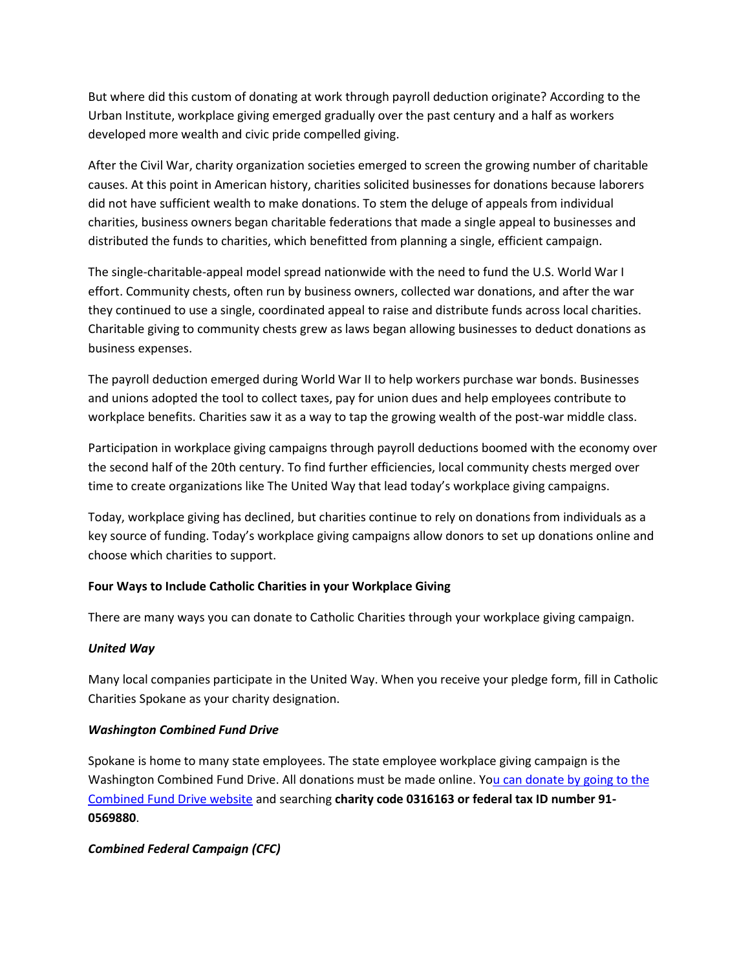But where did this custom of donating at work through payroll deduction originate? According to the Urban Institute, workplace giving emerged gradually over the past century and a half as workers developed more wealth and civic pride compelled giving.

After the Civil War, charity organization societies emerged to screen the growing number of charitable causes. At this point in American history, charities solicited businesses for donations because laborers did not have sufficient wealth to make donations. To stem the deluge of appeals from individual charities, business owners began charitable federations that made a single appeal to businesses and distributed the funds to charities, which benefitted from planning a single, efficient campaign.

The single-charitable-appeal model spread nationwide with the need to fund the U.S. World War I effort. Community chests, often run by business owners, collected war donations, and after the war they continued to use a single, coordinated appeal to raise and distribute funds across local charities. Charitable giving to community chests grew as laws began allowing businesses to deduct donations as business expenses.

The payroll deduction emerged during World War II to help workers purchase war bonds. Businesses and unions adopted the tool to collect taxes, pay for union dues and help employees contribute to workplace benefits. Charities saw it as a way to tap the growing wealth of the post-war middle class.

Participation in workplace giving campaigns through payroll deductions boomed with the economy over the second half of the 20th century. To find further efficiencies, local community chests merged over time to create organizations like The United Way that lead today's workplace giving campaigns.

Today, workplace giving has declined, but charities continue to rely on donations from individuals as a key source of funding. Today's workplace giving campaigns allow donors to set up donations online and choose which charities to support.

# **Four Ways to Include Catholic Charities in your Workplace Giving**

There are many ways you can donate to Catholic Charities through your workplace giving campaign.

### *United Way*

Many local companies participate in the United Way. When you receive your pledge form, fill in Catholic Charities Spokane as your charity designation.

### *Washington Combined Fund Drive*

Spokane is home to many state employees. The state employee workplace giving campaign is the Washington Combined Fund Drive. All donations must be made online. You can donate by going to the [Combined Fund Drive website](https://give.wa.gov/search) and searching **charity code 0316163 or federal tax ID number 91- 0569880**.

### *Combined Federal Campaign (CFC)*